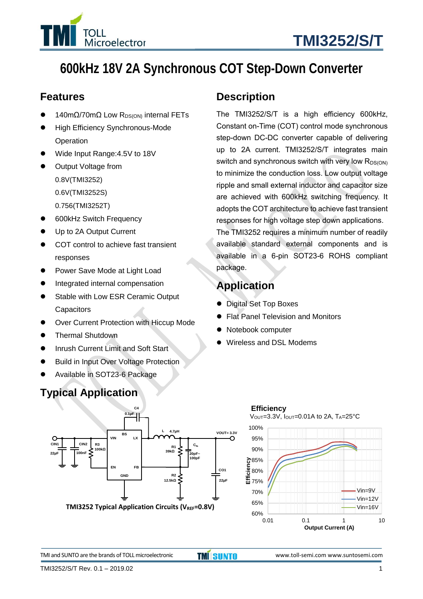

# **600kHz 18V 2A Synchronous COT Step-Down Converter**

### **Features**

- 140mΩ/70mΩ Low R<sub>DS(ON)</sub> internal FETs
- High Efficiency Synchronous-Mode **Operation**
- ⚫ Wide Input Range:4.5V to 18V
- ⚫ Output Voltage from 0.8V(TMI3252) 0.6V(TMI3252S) 0.756(TMI3252T)
- ⚫ 600kHz Switch Frequency
- Up to 2A Output Current
- COT control to achieve fast transient responses
- ⚫ Power Save Mode at Light Load
- Integrated internal compensation
- Stable with Low ESR Ceramic Output **Capacitors**
- Over Current Protection with Hiccup Mode
- ⚫ Thermal Shutdown
- Inrush Current Limit and Soft Start
- ⚫ Build in Input Over Voltage Protection
- ⚫ Available in SOT23-6 Package

### **Typical Application**

### **Description**

The TMI3252/S/T is a high efficiency 600kHz, Constant on-Time (COT) control mode synchronous step-down DC-DC converter capable of delivering up to 2A current. TMI3252/S/T integrates main switch and synchronous switch with very low  $R_{DS(ON)}$ to minimize the conduction loss. Low output voltage ripple and small external inductor and capacitor size are achieved with 600kHz switching frequency. It adopts the COT architecture to achieve fast transient responses for high voltage step down applications.

The TMI3252 requires a minimum number of readily available standard external components and is available in a 6-pin SOT23-6 ROHS compliant package.

### **Application**

- ⚫ Digital Set Top Boxes
- ⚫ Flat Panel Television and Monitors
- ⚫ Notebook computer

60%

⚫ Wireless and DSL Modems





TMI and SUNTO are the brands of TOLL microelectronic **TMISUNTO** www.toll-semi.com www.suntosemi.com

0.01 0.1 1 10 **Output Current (A)**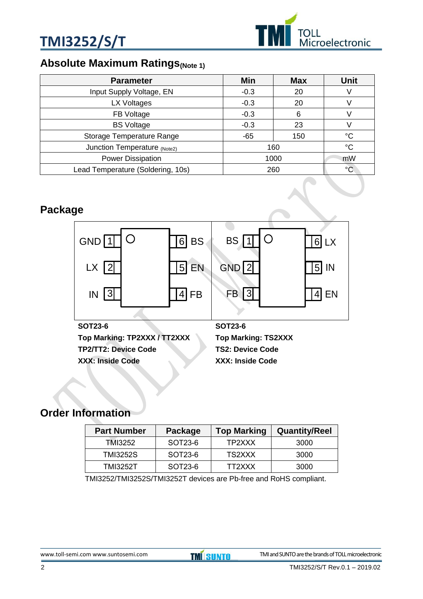



### **Absolute Maximum Ratings**(Note 1)

| <b>Parameter</b>                  | Min    | <b>Max</b> | Unit |
|-----------------------------------|--------|------------|------|
| Input Supply Voltage, EN          | $-0.3$ | 20         |      |
| LX Voltages                       | $-0.3$ | 20         |      |
| FB Voltage                        | $-0.3$ | 6          |      |
| <b>BS Voltage</b>                 | $-0.3$ | 23         |      |
| Storage Temperature Range         | $-65$  | 150        | °C   |
| Junction Temperature (Note2)      |        | 160        | °C   |
| Power Dissipation                 | 1000   |            | mW   |
| Lead Temperature (Soldering, 10s) |        | 260        | °C   |

### **Package**



### **Order Information**

| <b>Part Number</b> | Package | <b>Top Marking</b> | <b>Quantity/Reel</b> |
|--------------------|---------|--------------------|----------------------|
| TMI3252            | SOT23-6 | TP2XXX             | 3000                 |
| <b>TMI3252S</b>    | SOT23-6 | TS2XXX             | 3000                 |
| TMI3252T           | SOT23-6 | TT2XXX             | 3000                 |

TMI3252/TMI3252S/TMI3252T devices are Pb-free and RoHS compliant.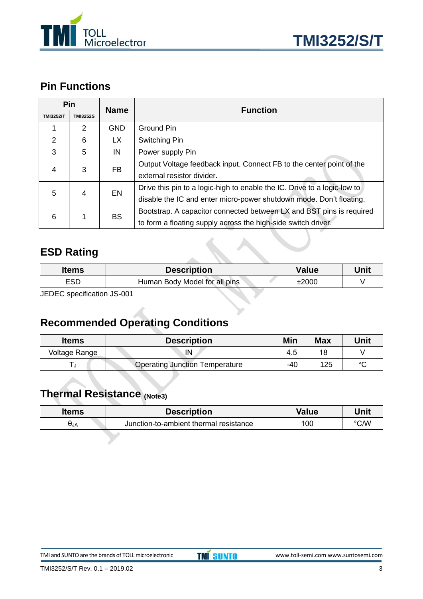



### **Pin Functions**

|                     | Pin             | <b>Name</b> | <b>Function</b>                                                          |  |
|---------------------|-----------------|-------------|--------------------------------------------------------------------------|--|
| <b>TMI3252/T</b>    | <b>TMI3252S</b> |             |                                                                          |  |
|                     | $\mathcal{P}$   | <b>GND</b>  | <b>Ground Pin</b>                                                        |  |
| 2                   | 6               | LX.         | Switching Pin                                                            |  |
| 3                   | 5               | IN          | Power supply Pin                                                         |  |
| 3<br>4              |                 | FB.         | Output Voltage feedback input. Connect FB to the center point of the     |  |
|                     |                 |             | external resistor divider.                                               |  |
| 5<br>EN<br>4        |                 |             | Drive this pin to a logic-high to enable the IC. Drive to a logic-low to |  |
|                     |                 |             | disable the IC and enter micro-power shutdown mode. Don't floating.      |  |
| <b>BS</b><br>6<br>1 |                 |             | Bootstrap. A capacitor connected between LX and BST pins is required     |  |
|                     |                 |             | to form a floating supply across the high-side switch driver.            |  |

### **ESD Rating**

| <b>Items</b>                     | <b>Description</b>            | Value | Unit |
|----------------------------------|-------------------------------|-------|------|
| <b>ESD</b>                       | Human Body Model for all pins | ±2000 |      |
| $IENEC$ enocification $IR$ $001$ |                               |       |      |

JEDEC specification JS-001

## **Recommended Operating Conditions**

| <b>Items</b>  | <b>Description</b>                    | Min | <b>Max</b> | Unit    |
|---------------|---------------------------------------|-----|------------|---------|
| Voltage Range | IN                                    | 4.5 | 18         |         |
|               | <b>Operating Junction Temperature</b> | -40 | 125        | $\circ$ |

### **Thermal Resistance (Note3)**

| <b>Items</b>  | <b>Description</b>                     | Value | Unit          |
|---------------|----------------------------------------|-------|---------------|
| $\theta_{JA}$ | Junction-to-ambient thermal resistance | 100   | $\degree$ C/W |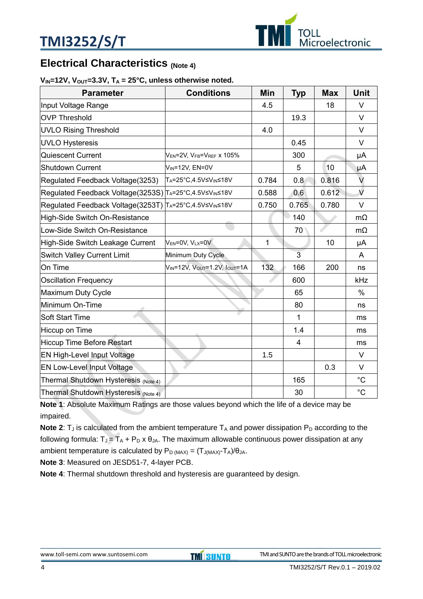

### **Electrical Characteristics (Note 4)**

#### $V_{IN}$ =12V,  $V_{OUT}$ =3.3V,  $T_A$  = 25°C, unless otherwise noted.

| <b>Parameter</b>                                       | <b>Conditions</b>                         | Min   | <b>Typ</b>     | <b>Max</b> | <b>Unit</b>   |
|--------------------------------------------------------|-------------------------------------------|-------|----------------|------------|---------------|
| Input Voltage Range                                    |                                           | 4.5   |                | 18         | $\vee$        |
| <b>OVP Threshold</b>                                   |                                           |       | 19.3           |            | $\vee$        |
| <b>UVLO Rising Threshold</b>                           |                                           | 4.0   |                |            | $\vee$        |
| <b>UVLO Hysteresis</b>                                 |                                           |       | 0.45           |            | $\vee$        |
| Quiescent Current                                      | $V_{EN}$ =2V, $V_{FB}$ = $V_{REF}$ x 105% |       | 300            |            | μA            |
| <b>Shutdown Current</b>                                | V <sub>IN</sub> =12V, EN=0V               |       | 5              | 10         | μA            |
| Regulated Feedback Voltage(3253)                       | TA=25°C,4.5V≤VIN≤18V                      | 0.784 | 0.8            | 0.816      | V             |
| Regulated Feedback Voltage(3253S) TA=25°C,4.5V≤VIN≤18V |                                           | 0.588 | 0.6            | 0.612      | $\sqrt{2}$    |
| Regulated Feedback Voltage(3253T) TA=25°C,4.5V≤VIN≤18V |                                           | 0.750 | 0.765          | 0.780      | $\vee$        |
| High-Side Switch On-Resistance                         |                                           |       | 140            |            | $m\Omega$     |
| Low-Side Switch On-Resistance                          |                                           |       | 70             |            | $m\Omega$     |
| High-Side Switch Leakage Current                       | $V_{EN} = 0V$ , $V_{LX} = 0V$             | 1     |                | 10         | μA            |
| <b>Switch Valley Current Limit</b>                     | Minimum Duty Cycle                        |       | $\overline{3}$ |            | A             |
| On Time                                                | <b>VIN=12V, VOUT=1.2V, IOUT=1A</b>        | 132   | 166            | 200        | ns            |
| <b>Oscillation Frequency</b>                           |                                           |       | 600            |            | kHz           |
| Maximum Duty Cycle                                     |                                           |       | 65             |            | $\frac{0}{0}$ |
| Minimum On-Time                                        |                                           |       | 80             |            | ns            |
| Soft Start Time                                        |                                           |       | 1              |            | ms            |
| Hiccup on Time                                         |                                           |       | 1.4            |            | ms            |
| Hiccup Time Before Restart                             |                                           |       | 4              |            | ms            |
| EN High-Level Input Voltage                            |                                           | 1.5   |                |            | $\vee$        |
| <b>EN Low-Level Input Voltage</b>                      |                                           |       |                | 0.3        | V             |
| Thermal Shutdown Hysteresis (Note 4)                   |                                           |       | 165            |            | $^{\circ}C$   |
| Thermal Shutdown Hysteresis (Note 4)                   |                                           |       | 30             |            | $^{\circ}C$   |

**Note 1**: Absolute Maximum Ratings are those values beyond which the life of a device may be impaired.

**Note 2:**  $T_J$  is calculated from the ambient temperature  $T_A$  and power dissipation  $P_D$  according to the following formula:  $T_J = T_A + P_D \times \theta_{JA}$ . The maximum allowable continuous power dissipation at any ambient temperature is calculated by  $P_D_{(MAX)} = (T_{J(MAX)} - T_A)/\theta_{JA}$ .

**Note 3**: Measured on JESD51-7, 4-layer PCB.

**Note 4**: Thermal shutdown threshold and hysteresis are guaranteed by design.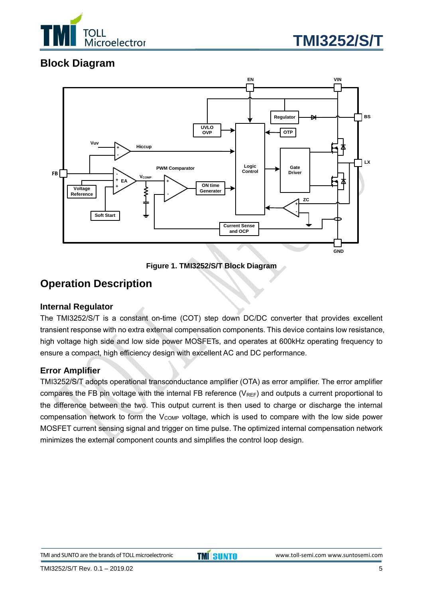



### **Block Diagram**



**Figure 1. TMI3252/S/T Block Diagram**

### **Operation Description**

#### **Internal Regulator**

The TMI3252/S/T is a constant on-time (COT) step down DC/DC converter that provides excellent transient response with no extra external compensation components. This device contains low resistance, high voltage high side and low side power MOSFETs, and operates at 600kHz operating frequency to ensure a compact, high efficiency design with excellent AC and DC performance.

#### **Error Amplifier**

TMI3252/S/T adopts operational transconductance amplifier (OTA) as error amplifier. The error amplifier compares the FB pin voltage with the internal FB reference  $(V_{REF})$  and outputs a current proportional to the difference between the two. This output current is then used to charge or discharge the internal compensation network to form the  $V_{\text{COMP}}$  voltage, which is used to compare with the low side power MOSFET current sensing signal and trigger on time pulse. The optimized internal compensation network minimizes the external component counts and simplifies the control loop design.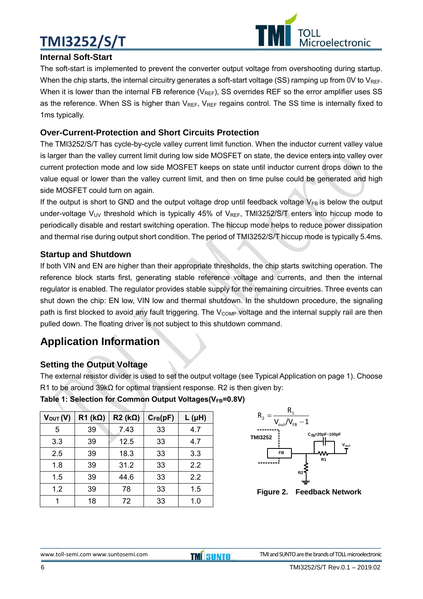# **TMI3252/S/T**



#### **Internal Soft-Start**

The soft-start is implemented to prevent the converter output voltage from overshooting during startup. When the chip starts, the internal circuitry generates a soft-start voltage (SS) ramping up from 0V to  $V_{REF}$ . When it is lower than the internal FB reference ( $V_{REF}$ ), SS overrides REF so the error amplifier uses SS as the reference. When SS is higher than  $V_{REF}$ ,  $V_{REF}$  regains control. The SS time is internally fixed to 1ms typically.

#### **Over-Current-Protection and Short Circuits Protection**

The TMI3252/S/T has cycle-by-cycle valley current limit function. When the inductor current valley value is larger than the valley current limit during low side MOSFET on state, the device enters into valley over current protection mode and low side MOSFET keeps on state until inductor current drops down to the value equal or lower than the valley current limit, and then on time pulse could be generated and high side MOSFET could turn on again.

If the output is short to GND and the output voltage drop until feedback voltage  $V_{FB}$  is below the output under-voltage  $V_{UV}$  threshold which is typically 45% of  $V_{REF}$ , TMI3252/S/T enters into hiccup mode to periodically disable and restart switching operation. The hiccup mode helps to reduce power dissipation and thermal rise during output short condition. The period of TMI3252/S/T hiccup mode is typically 5.4ms.

#### **Startup and Shutdown**

If both VIN and EN are higher than their appropriate thresholds, the chip starts switching operation. The reference block starts first, generating stable reference voltage and currents, and then the internal regulator is enabled. The regulator provides stable supply for the remaining circuitries. Three events can shut down the chip: EN low, VIN low and thermal shutdown. In the shutdown procedure, the signaling path is first blocked to avoid any fault triggering. The V<sub>COMP</sub> voltage and the internal supply rail are then pulled down. The floating driver is not subject to this shutdown command.

### **Application Information**

#### **Setting the Output Voltage**

The external resistor divider is used to set the output voltage (see Typical Application on page 1). Choose R1 to be around 39kΩ for optimal transient response. R2 is then given by:

| Table 1: Selection for Common Output Voltages(VFB=0.8V) |
|---------------------------------------------------------|
|---------------------------------------------------------|

| $V_{\text{OUT}}(V)$ | $R1$ (k $\Omega$ ) | $R2 (k\Omega)$ | $C_{FB}(pF)$ | $L(\mu H)$ |
|---------------------|--------------------|----------------|--------------|------------|
| 5                   | 39                 | 7.43           | 33           | 4.7        |
| 3.3                 | 39                 | 12.5           | 33           | 4.7        |
| 2.5                 | 39                 | 18.3           | 33           | 3.3        |
| 1.8                 | 39                 | 31.2           | 33           | 2.2        |
| 1.5                 | 39                 | 44.6           | 33           | 2.2        |
| 1.2                 | 39                 | 78             | 33           | 1.5        |
|                     | 18                 | 72             | 33           | 1.0        |



**Figure 2. Feedback Network**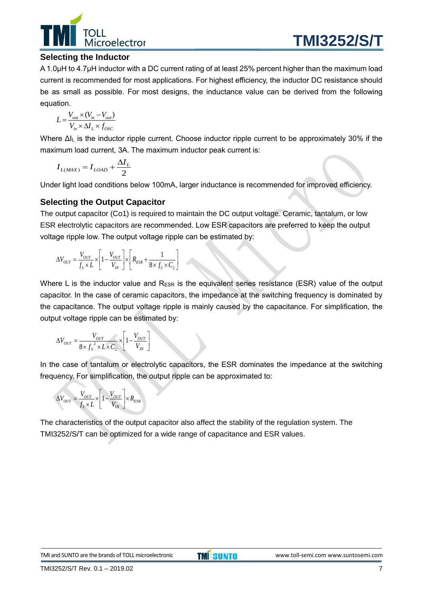

#### **Selecting the Inductor**

A 1.0μH to 4.7μH inductor with a DC current rating of at least 25% percent higher than the maximum load current is recommended for most applications. For highest efficiency, the inductor DC resistance should be as small as possible. For most designs, the inductance value can be derived from the following equation.

$$
L = \frac{V_{out} \times (V_{in} - V_{out})}{V_{in} \times \Delta I_L \times f_{OSC}}
$$

Where ΔI<sub>L</sub> is the inductor ripple current. Choose inductor ripple current to be approximately 30% if the maximum load current, 3A. The maximum inductor peak current is:

$$
I_{L(MAX)} = I_{LOAD} + \frac{\Delta I_L}{2}
$$

Under light load conditions below 100mA, larger inductance is recommended for improved efficiency.

#### **Selecting the Output Capacitor**

The output capacitor (Co1) is required to maintain the DC output voltage. Ceramic, tantalum, or low ESR electrolytic capacitors are recommended. Low ESR capacitors are preferred to keep the output voltage ripple low. The output voltage ripple can be estimated by:

$$
\Delta V_{OUT} = \frac{V_{OUT}}{f_s \times L} \times \left[1 - \frac{V_{OUT}}{V_{IN}}\right] \times \left[R_{ESR} + \frac{1}{8 \times f_s \times C_2}\right]
$$

Where L is the inductor value and  $R_{ESR}$  is the equivalent series resistance (ESR) value of the output capacitor. In the case of ceramic capacitors, the impedance at the switching frequency is dominated by the capacitance. The output voltage ripple is mainly caused by the capacitance. For simplification, the output voltage ripple can be estimated by:

$$
\Delta V_{OUT} = \frac{V_{OUT}}{8 \times f_s^2 \times L \times C_2} \times \left[1 - \frac{V_{OUT}}{V_{IN}}\right]
$$

In the case of tantalum or electrolytic capacitors, the ESR dominates the impedance at the switching frequency. For simplification, the output ripple can be approximated to:

$$
\Delta V_{OUT} = \frac{V_{OUT}}{f_s \times L} \times \left[1 - \frac{V_{OUT}}{V_{IN}}\right] \times R_{ESR}
$$

The characteristics of the output capacitor also affect the stability of the regulation system. The TMI3252/S/T can be optimized for a wide range of capacitance and ESR values.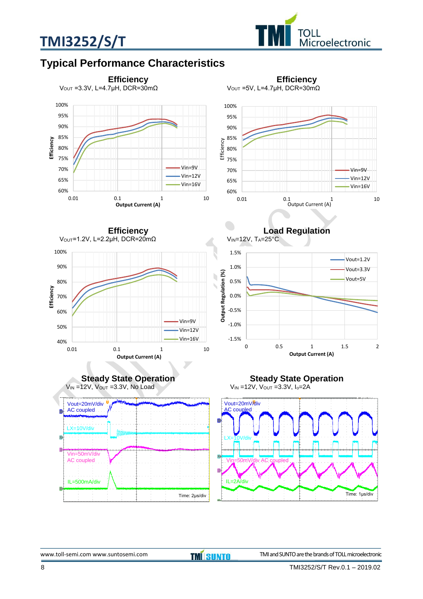



### **Typical Performance Characteristics**

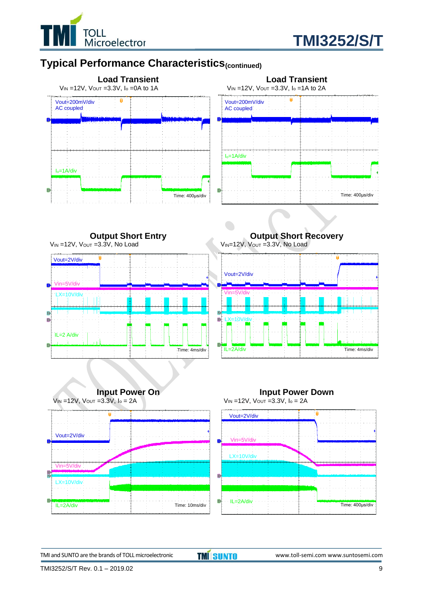



### **Typical Performance Characteristics(continued)**



**Output Short Entry**  $V_{IN}$  =12V,  $V_{OUT}$  =3.3V, No Load



**Output Short Recovery** VIN=12V, Vout =3.3V, No Load









TMI and SUNTO are the brands of TOLL microelectronic **TMI SUNTO** www.toll-semi.com www.suntosemi.com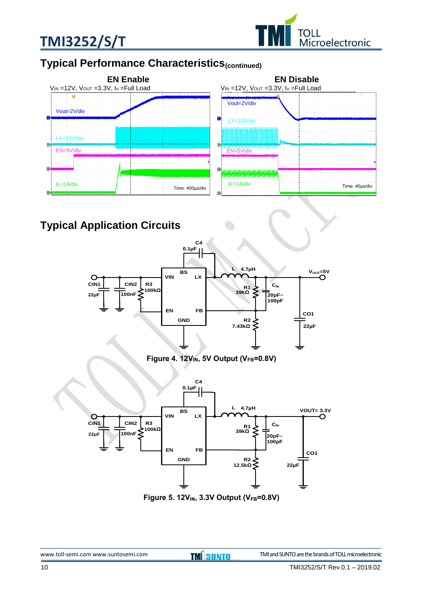



### **Typical Performance Characteristics(continued)**



**Typical Application Circuits**



**Figure 4. 12VIN, 5V Output (VFB=0.8V)**



**Figure 5. 12VIN, 3.3V Output (VFB=0.8V)**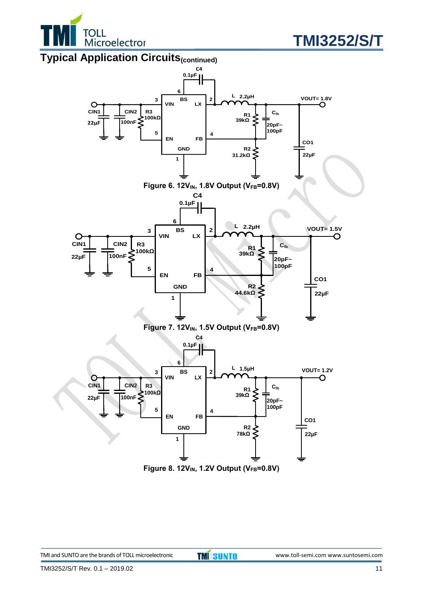



### **Typical Application Circuits(continued)**



**Figure 8. 12VIN, 1.2V Output (VFB=0.8V)**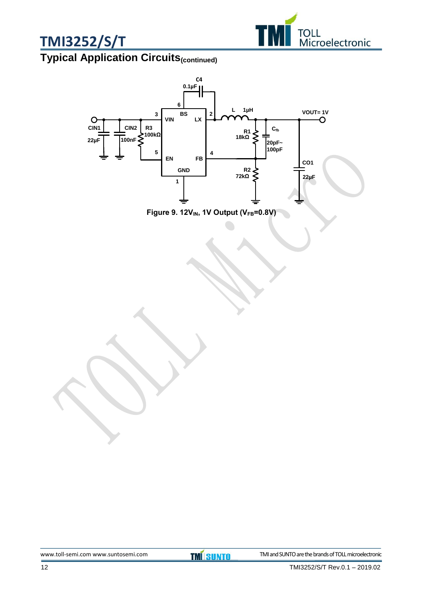



# **Typical Application Circuits(continued)**



**Figure 9. 12VIN, 1V Output (VFB=0.8V)**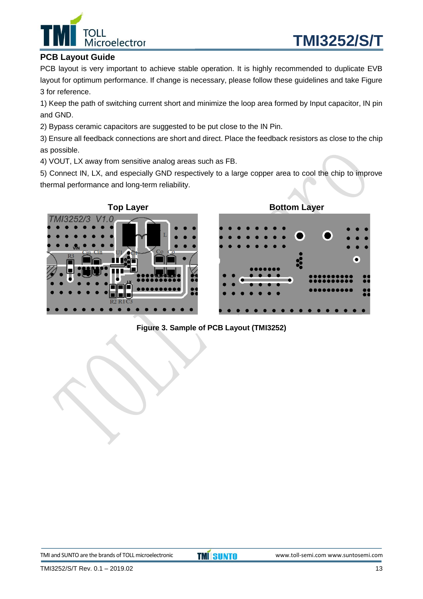



#### **PCB Layout Guide**

PCB layout is very important to achieve stable operation. It is highly recommended to duplicate EVB layout for optimum performance. If change is necessary, please follow these guidelines and take Figure 3 for reference.

1) Keep the path of switching current short and minimize the loop area formed by Input capacitor, IN pin and GND.

2) Bypass ceramic capacitors are suggested to be put close to the IN Pin.

3) Ensure all feedback connections are short and direct. Place the feedback resistors as close to the chip as possible.

4) VOUT, LX away from sensitive analog areas such as FB.

5) Connect IN, LX, and especially GND respectively to a large copper area to cool the chip to improve thermal performance and long-term reliability.



**Figure 3. Sample of PCB Layout (TMI3252)**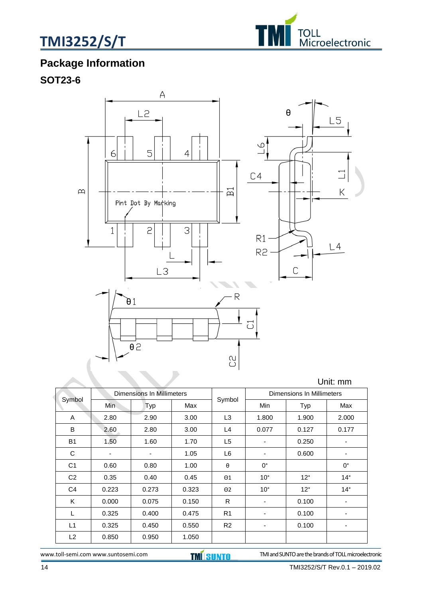



# **Package Information**

### **SOT23-6**



|                | Dimensions In Millimeters<br>Symbol |       |       | Dimensions In Millimeters |              |              |                          |
|----------------|-------------------------------------|-------|-------|---------------------------|--------------|--------------|--------------------------|
|                | Min.                                | Typ   | Max   | Symbol                    | Min          | Typ          | Max                      |
| A              | 2.80                                | 2.90  | 3.00  | L <sub>3</sub>            | 1.800        | 1.900        | 2.000                    |
| B              | 2.60                                | 2.80  | 3.00  | L4                        | 0.077        | 0.127        | 0.177                    |
| <b>B1</b>      | 1.50                                | 1.60  | 1.70  | L <sub>5</sub>            | ٠            | 0.250        | -                        |
| C              | $\overline{\phantom{a}}$            | ٠     | 1.05  | L6                        | ٠            | 0.600        | ٠                        |
| C <sub>1</sub> | 0.60                                | 0.80  | 1.00  | $\theta$                  | $0^{\circ}$  |              | $0^{\circ}$              |
| C <sub>2</sub> | 0.35                                | 0.40  | 0.45  | $\Theta$ 1                | $10^{\circ}$ | $12^{\circ}$ | $14^{\circ}$             |
| C <sub>4</sub> | 0.223                               | 0.273 | 0.323 | $\Theta$ 2                | $10^{\circ}$ | $12^{\circ}$ | $14^{\circ}$             |
| Κ              | 0.000                               | 0.075 | 0.150 | $\mathsf{R}$              | ٠            | 0.100        | $\overline{\phantom{a}}$ |
| L              | 0.325                               | 0.400 | 0.475 | R <sub>1</sub>            | ٠            | 0.100        | ٠                        |
| L1             | 0.325                               | 0.450 | 0.550 | R <sub>2</sub>            |              | 0.100        |                          |
| L <sub>2</sub> | 0.850                               | 0.950 | 1.050 |                           |              |              |                          |

[www.toll-semi.com](http://www.toll-semi.com/) www.suntosemi.com **TMI SUNTO** TMI and SUNTO are the brands of TOLL microelectronic